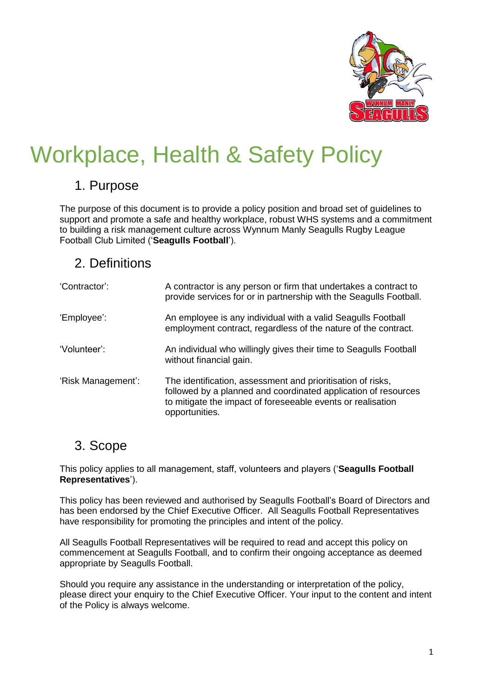

# Workplace, Health & Safety Policy

#### 1. Purpose

The purpose of this document is to provide a policy position and broad set of guidelines to support and promote a safe and healthy workplace, robust WHS systems and a commitment to building a risk management culture across Wynnum Manly Seagulls Rugby League Football Club Limited ('**Seagulls Football**').

### 2. Definitions

| 'Contractor':      | A contractor is any person or firm that undertakes a contract to<br>provide services for or in partnership with the Seagulls Football.                                                                         |
|--------------------|----------------------------------------------------------------------------------------------------------------------------------------------------------------------------------------------------------------|
| 'Employee':        | An employee is any individual with a valid Seagulls Football<br>employment contract, regardless of the nature of the contract.                                                                                 |
| 'Volunteer':       | An individual who willingly gives their time to Seagulls Football<br>without financial gain.                                                                                                                   |
| 'Risk Management': | The identification, assessment and prioritisation of risks,<br>followed by a planned and coordinated application of resources<br>to mitigate the impact of foreseeable events or realisation<br>opportunities. |

#### 3. Scope

This policy applies to all management, staff, volunteers and players ('**Seagulls Football Representatives**').

This policy has been reviewed and authorised by Seagulls Football's Board of Directors and has been endorsed by the Chief Executive Officer. All Seagulls Football Representatives have responsibility for promoting the principles and intent of the policy.

All Seagulls Football Representatives will be required to read and accept this policy on commencement at Seagulls Football, and to confirm their ongoing acceptance as deemed appropriate by Seagulls Football.

Should you require any assistance in the understanding or interpretation of the policy, please direct your enquiry to the Chief Executive Officer. Your input to the content and intent of the Policy is always welcome.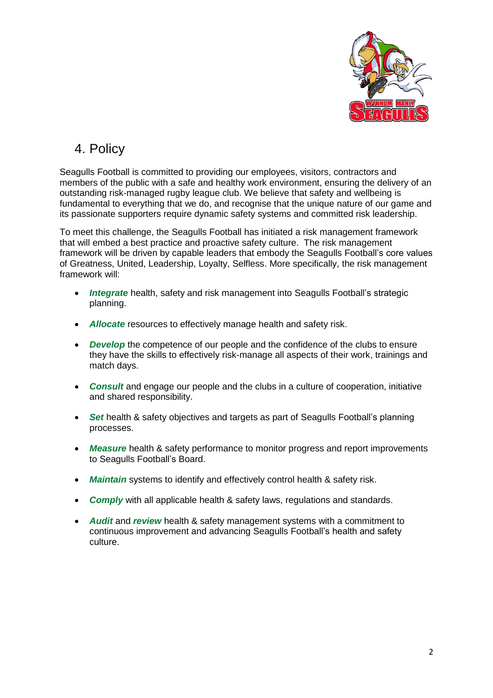

## 4. Policy

Seagulls Football is committed to providing our employees, visitors, contractors and members of the public with a safe and healthy work environment, ensuring the delivery of an outstanding risk-managed rugby league club. We believe that safety and wellbeing is fundamental to everything that we do, and recognise that the unique nature of our game and its passionate supporters require dynamic safety systems and committed risk leadership.

To meet this challenge, the Seagulls Football has initiated a risk management framework that will embed a best practice and proactive safety culture. The risk management framework will be driven by capable leaders that embody the Seagulls Football's core values of Greatness, United, Leadership, Loyalty, Selfless. More specifically, the risk management framework will:

- *Integrate* health, safety and risk management into Seagulls Football's strategic planning.
- *Allocate* resources to effectively manage health and safety risk.
- **Develop** the competence of our people and the confidence of the clubs to ensure they have the skills to effectively risk-manage all aspects of their work, trainings and match days.
- *Consult* and engage our people and the clubs in a culture of cooperation, initiative and shared responsibility.
- *Set* health & safety objectives and targets as part of Seagulls Football's planning processes.
- *Measure* health & safety performance to monitor progress and report improvements to Seagulls Football's Board.
- *Maintain* systems to identify and effectively control health & safety risk.
- *Comply* with all applicable health & safety laws, regulations and standards.
- *Audit* and *review* health & safety management systems with a commitment to continuous improvement and advancing Seagulls Football's health and safety culture.